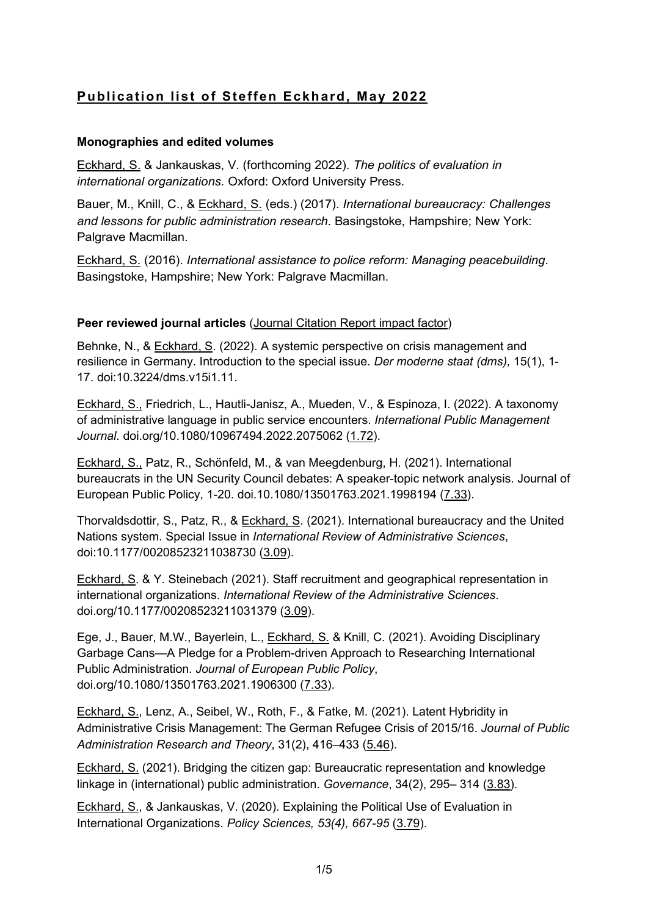# Publication list of Steffen Eckhard, May 2022

# Monographies and edited volumes

Eckhard, S. & Jankauskas, V. (forthcoming 2022). The politics of evaluation in international organizations. Oxford: Oxford University Press.

Bauer, M., Knill, C., & Eckhard, S. (eds.) (2017). International bureaucracy: Challenges and lessons for public administration research. Basingstoke, Hampshire; New York: Palgrave Macmillan.

Eckhard, S. (2016). International assistance to police reform: Managing peacebuilding.<br>Basingstoke, Hampshire; New York: Palgrave Macmillan.

## Peer reviewed journal articles (Journal Citation Report impact factor)

Behnke, N., & Eckhard, S. (2022). A systemic perspective on crisis management and resilience in Germany. Introduction to the special issue. Der moderne staat (dms), 15(1), 1-17. doi:10.3224/dms.v15i1.11.

Eckhard, S., Friedrich, L., Hautli-Janisz, A., Mueden, V., & Espinoza, I. (2022). A taxonomy of administrative language in public service encounters. International Public Management Journal. doi.org/10.1080/10967494.2022.2075062 (1.72).

Eckhard, S., Patz, R., Schönfeld, M., & van Meegdenburg, H. (2021). International bureaucrats in the UN Security Council debates: A speaker-topic network analysis. Journal of European Public Policy, 1-20. doi.10.1080/13501763.2021.1998194 (7.33).

Thorvaldsdottir, S., Patz, R., & Eckhard, S. (2021). International bureaucracy and the United Nations system. Special Issue in International Review of Administrative Sciences, doi:10.1177/00208523211038730 (3.09).

Eckhard, S. & Y. Steinebach (2021). Staff recruitment and geographical representation in international organizations. International Review of the Administrative Sciences. doi.org/10.1177/00208523211031379 (3.09).

Ege, J., Bauer, M.W., Bayerlein, L., Eckhard, S. & Knill, C. (2021). Avoiding Disciplinary Garbage Cans—A Pledge for a Problem-driven Approach to Researching International Public Administration. Journal of European Public Policy, doi.org/10.1080/13501763.2021.1906300 (7.33).

Eckhard, S., Lenz, A., Seibel, W., Roth, F., & Fatke, M. (2021). Latent Hybridity in Administrative Crisis Management: The German Refugee Crisis of 2015/16. Journal of Public Administration Research and Theory, 31(2), 416–433 (5.46).

Eckhard, S. (2021). Bridging the citizen gap: Bureaucratic representation and knowledge linkage in (international) public administration. Governance, 34(2), 295– 314 (3.83).

Eckhard, S., & Jankauskas, V. (2020). Explaining the Political Use of Evaluation in International Organizations. Policy Sciences, 53(4), 667-95 (3.79).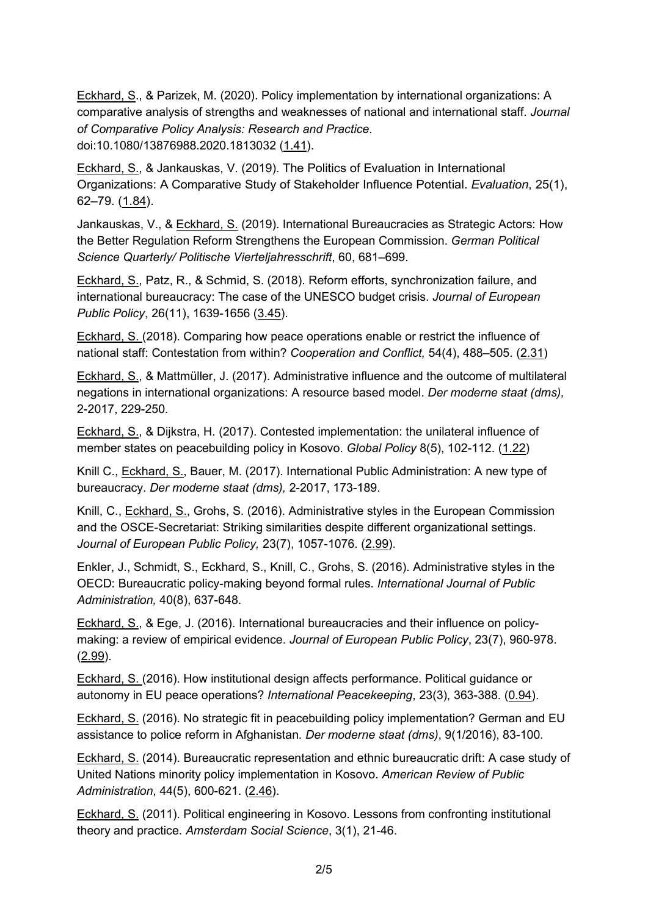Eckhard, S., & Parizek, M. (2020). Policy implementation by international organizations: A comparative analysis of strengths and weaknesses of national and international staff. Journal of Comparative Policy Analysis: Research and Practice. doi:10.1080/13876988.2020.1813032 (1.41).

Eckhard, S., & Jankauskas, V. (2019). The Politics of Evaluation in International Organizations: A Comparative Study of Stakeholder Influence Potential. Evaluation, 25(1), 62–79. (1.84).

Jankauskas, V., & Eckhard, S. (2019). International Bureaucracies as Strategic Actors: How the Better Regulation Reform Strengthens the European Commission. German Political Science Quarterly/ Politische Vierteljahresschrift, 60, 681–699.

Eckhard, S., Patz, R., & Schmid, S. (2018). Reform efforts, synchronization failure, and international bureaucracy: The case of the UNESCO budget crisis. Journal of European Public Policy, 26(11), 1639-1656 (3.45).

Eckhard, S. (2018). Comparing how peace operations enable or restrict the influence of national staff: Contestation from within? Cooperation and Conflict, 54(4), 488–505. (2.31)

Eckhard, S., & Mattmüller, J. (2017). Administrative influence and the outcome of multilateral negations in international organizations: A resource based model. Der moderne staat (dms), 2-2017, 229-250.

Eckhard, S., & Dijkstra, H. (2017). Contested implementation: the unilateral influence of member states on peacebuilding policy in Kosovo. Global Policy 8(5), 102-112. (1.22)

Knill C., Eckhard, S., Bauer, M. (2017). International Public Administration: A new type of bureaucracy. Der moderne staat (dms), 2-2017, 173-189.

Knill, C., Eckhard, S., Grohs, S. (2016). Administrative styles in the European Commission and the OSCE-Secretariat: Striking similarities despite different organizational settings. Journal of European Public Policy, 23(7), 1057-1076. (2.99).

Enkler, J., Schmidt, S., Eckhard, S., Knill, C., Grohs, S. (2016). Administrative styles in the OECD: Bureaucratic policy-making beyond formal rules. International Journal of Public Administration, 40(8), 637-648.

Eckhard, S., & Ege, J. (2016). International bureaucracies and their influence on policymaking: a review of empirical evidence. Journal of European Public Policy, 23(7), 960-978. (2.99).

Eckhard, S. (2016). How institutional design affects performance. Political guidance or autonomy in EU peace operations? International Peacekeeping, 23(3), 363-388. (0.94).

Eckhard, S. (2016). No strategic fit in peacebuilding policy implementation? German and EU assistance to police reform in Afghanistan. Der moderne staat (dms), 9(1/2016), 83-100.

Eckhard, S. (2014). Bureaucratic representation and ethnic bureaucratic drift: A case study of United Nations minority policy implementation in Kosovo. American Review of Public Administration, 44(5), 600-621. (2.46).

Eckhard, S. (2011). Political engineering in Kosovo. Lessons from confronting institutional theory and practice. Amsterdam Social Science, 3(1), 21-46.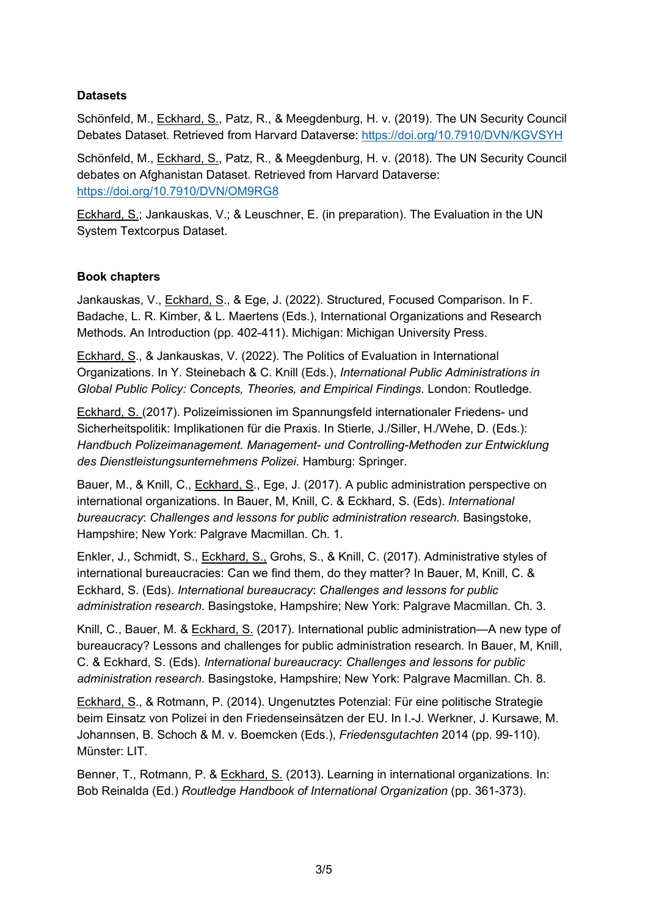## **Datasets**

Schönfeld, M., Eckhard, S., Patz, R., & Meegdenburg, H. v. (2019). The UN Security Council Debates Dataset. Retrieved from Harvard Dataverse: https://doi.org/10.7910/DVN/KGVSYH

Schönfeld, M., Eckhard, S., Patz, R., & Meegdenburg, H. v. (2018). The UN Security Council debates on Afghanistan Dataset. Retrieved from Harvard Dataverse: https://doi.org/10.7910/DVN/OM9RG8

Eckhard, S.; Jankauskas, V.; & Leuschner, E. (in preparation). The Evaluation in the UN System Textcorpus Dataset.

## Book chapters

Jankauskas, V., Eckhard, S., & Ege, J. (2022). Structured, Focused Comparison. In F. Badache, L. R. Kimber, & L. Maertens (Eds.), International Organizations and Research Methods. An Introduction (pp. 402-411). Michigan: Michigan University Press.

Eckhard, S., & Jankauskas, V. (2022). The Politics of Evaluation in International Organizations. In Y. Steinebach & C. Knill (Eds.), International Public Administrations in Global Public Policy: Concepts, Theories, and Empirical Findings. London: Routledge.

Eckhard, S. (2017). Polizeimissionen im Spannungsfeld internationaler Friedens- und Sicherheitspolitik: Implikationen für die Praxis. In Stierle, J./Siller, H./Wehe, D. (Eds.): Handbuch Polizeimanagement. Management- und Controlling-Methoden zur Entwicklung des Dienstleistungsunternehmens Polizei. Hamburg: Springer.

Bauer, M., & Knill, C., Eckhard, S., Ege, J. (2017). A public administration perspective on international organizations. In Bauer, M, Knill, C. & Eckhard, S. (Eds). International bureaucracy: Challenges and lessons for public administration research. Basingstoke, Hampshire; New York: Palgrave Macmillan. Ch. 1.

Enkler, J., Schmidt, S., Eckhard, S., Grohs, S., & Knill, C. (2017). Administrative styles of international bureaucracies: Can we find them, do they matter? In Bauer, M, Knill, C. & Eckhard, S. (Eds). International bureaucracy: Challenges and lessons for public administration research. Basingstoke, Hampshire; New York: Palgrave Macmillan. Ch. 3.

Knill, C., Bauer, M. & Eckhard, S. (2017). International public administration—A new type of bureaucracy? Lessons and challenges for public administration research. In Bauer, M, Knill, C. & Eckhard, S. (Eds). International bureaucracy: Challenges and lessons for public administration research. Basingstoke, Hampshire; New York: Palgrave Macmillan. Ch. 8.

Eckhard, S., & Rotmann, P. (2014). Ungenutztes Potenzial: Für eine politische Strategie beim Einsatz von Polizei in den Friedenseinsätzen der EU. In I.-J. Werkner, J. Kursawe, M. Johannsen, B. Schoch & M. v. Boemcken (Eds.), Friedensgutachten 2014 (pp. 99-110). Münster: LIT.

Benner, T., Rotmann, P. & Eckhard, S. (2013). Learning in international organizations. In: Bob Reinalda (Ed.) Routledge Handbook of International Organization (pp. 361-373).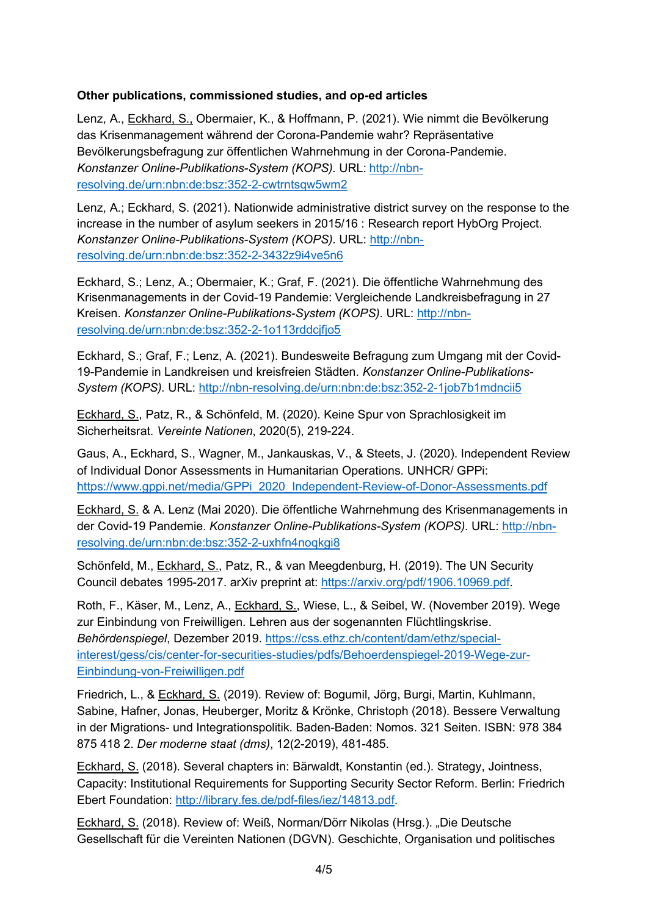# Other publications, commissioned studies, and op-ed articles

Lenz, A., Eckhard, S., Obermaier, K., & Hoffmann, P. (2021). Wie nimmt die Bevölkerung das Krisenmanagement während der Corona-Pandemie wahr? Repräsentative Bevölkerungsbefragung zur öffentlichen Wahrnehmung in der Corona-Pandemie. Konstanzer Online-Publikations-System (KOPS). URL: http://nbnresolving.de/urn:nbn:de:bsz:352-2-cwtrntsqw5wm2

Lenz, A.; Eckhard, S. (2021). Nationwide administrative district survey on the response to the increase in the number of asylum seekers in 2015/16 : Research report HybOrg Project. Konstanzer Online-Publikations-System (KOPS). URL: http://nbnresolving.de/urn:nbn:de:bsz:352-2-3432z9i4ve5n6

Eckhard, S.; Lenz, A.; Obermaier, K.; Graf, F. (2021). Die öffentliche Wahrnehmung des Krisenmanagements in der Covid-19 Pandemie: Vergleichende Landkreisbefragung in 27 Kreisen. Konstanzer Online-Publikations-System (KOPS). URL: http://nbnresolving.de/urn:nbn:de:bsz:352-2-1o113rddcjfjo5

Eckhard, S.; Graf, F.; Lenz, A. (2021). Bundesweite Befragung zum Umgang mit der Covid-19-Pandemie in Landkreisen und kreisfreien Städten. Konstanzer Online-Publikations-System (KOPS). URL: http://nbn-resolving.de/urn:nbn:de:bsz:352-2-1job7b1mdncii5

Eckhard, S., Patz, R., & Schönfeld, M. (2020). Keine Spur von Sprachlosigkeit im Sicherheitsrat. Vereinte Nationen, 2020(5), 219-224.

Gaus, A., Eckhard, S., Wagner, M., Jankauskas, V., & Steets, J. (2020). Independent Review of Individual Donor Assessments in Humanitarian Operations. UNHCR/ GPPi: https://www.gppi.net/media/GPPi\_2020\_Independent-Review-of-Donor-Assessments.pdf

Eckhard, S. & A. Lenz (Mai 2020). Die öffentliche Wahrnehmung des Krisenmanagements in der Covid-19 Pandemie. Konstanzer Online-Publikations-System (KOPS). URL: http://nbnresolving.de/urn:nbn:de:bsz:352-2-uxhfn4noqkgi8

Schönfeld, M., Eckhard, S., Patz, R., & van Meegdenburg, H. (2019). The UN Security Council debates 1995-2017. arXiv preprint at: https://arxiv.org/pdf/1906.10969.pdf.

Roth, F., Käser, M., Lenz, A., Eckhard, S., Wiese, L., & Seibel, W. (November 2019). Wege zur Einbindung von Freiwilligen. Lehren aus der sogenannten Flüchtlingskrise. Behördenspiegel, Dezember 2019. https://css.ethz.ch/content/dam/ethz/specialinterest/gess/cis/center-for-securities-studies/pdfs/Behoerdenspiegel-2019-Wege-zur-Einbindung-von-Freiwilligen.pdf

Friedrich, L., & Eckhard, S. (2019). Review of: Bogumil, Jörg, Burgi, Martin, Kuhlmann, Sabine, Hafner, Jonas, Heuberger, Moritz & Krönke, Christoph (2018). Bessere Verwaltung in der Migrations- und Integrationspolitik. Baden-Baden: Nomos. 321 Seiten. ISBN: 978 384 875 418 2. Der moderne staat (dms), 12(2-2019), 481-485.

Eckhard, S. (2018). Several chapters in: Bärwaldt, Konstantin (ed.). Strategy, Jointness, Capacity: Institutional Requirements for Supporting Security Sector Reform. Berlin: Friedrich Ebert Foundation: http://library.fes.de/pdf-files/iez/14813.pdf.

Eckhard, S. (2018). Review of: Weiß, Norman/Dörr Nikolas (Hrsg.). "Die Deutsche Gesellschaft für die Vereinten Nationen (DGVN). Geschichte, Organisation und politisches